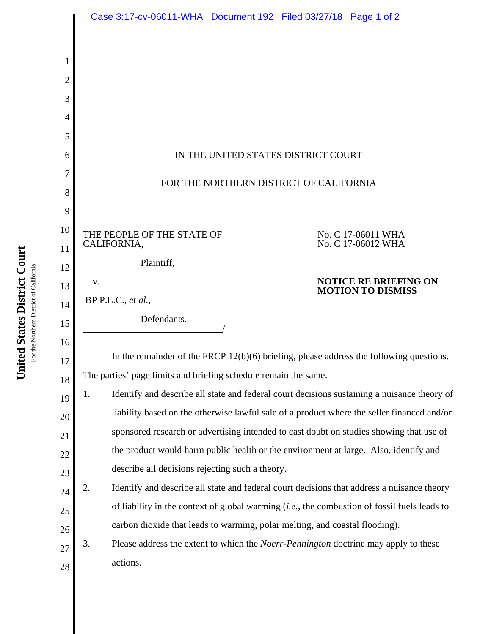|          | Case 3:17-cv-06011-WHA  Document 192  Filed 03/27/18  Page 1 of 2                                   |
|----------|-----------------------------------------------------------------------------------------------------|
|          |                                                                                                     |
|          |                                                                                                     |
| 2        |                                                                                                     |
| 3        |                                                                                                     |
| 4        |                                                                                                     |
| 5        |                                                                                                     |
| 6        | IN THE UNITED STATES DISTRICT COURT                                                                 |
| 7        | FOR THE NORTHERN DISTRICT OF CALIFORNIA                                                             |
| 8        |                                                                                                     |
| 9        |                                                                                                     |
| 10       | THE PEOPLE OF THE STATE OF<br>No. C 17-06011 WHA<br>No. C 17-06012 WHA<br>CALIFORNIA,               |
| 11       | Plaintiff,                                                                                          |
| 12       | <b>NOTICE RE BRIEFING ON</b><br>V.                                                                  |
| 13       | <b>MOTION TO DISMISS</b><br>BP P.L.C., et al.,                                                      |
| 14       |                                                                                                     |
|          | Defendants.                                                                                         |
| 15       |                                                                                                     |
| 16       | In the remainder of the FRCP $12(b)(6)$ briefing, please address the following questions.           |
| 17       | The parties' page limits and briefing schedule remain the same.                                     |
| 18<br>19 | Identify and describe all state and federal court decisions sustaining a nuisance theory of<br>1.   |
| 20       | liability based on the otherwise lawful sale of a product where the seller financed and/or          |
| 21       | sponsored research or advertising intended to cast doubt on studies showing that use of             |
| 22       | the product would harm public health or the environment at large. Also, identify and                |
| 23       | describe all decisions rejecting such a theory.                                                     |
| 24       | 2.<br>Identify and describe all state and federal court decisions that address a nuisance theory    |
| 25       | of liability in the context of global warming <i>(i.e., the combustion of fossil fuels leads to</i> |
| 26       | carbon dioxide that leads to warming, polar melting, and coastal flooding).                         |
| 27       | 3.<br>Please address the extent to which the <i>Noerr-Pennington</i> doctrine may apply to these    |
| 28       | actions.                                                                                            |

United States District Court **United States District Court** For the Northern District of California For the Northern District of California